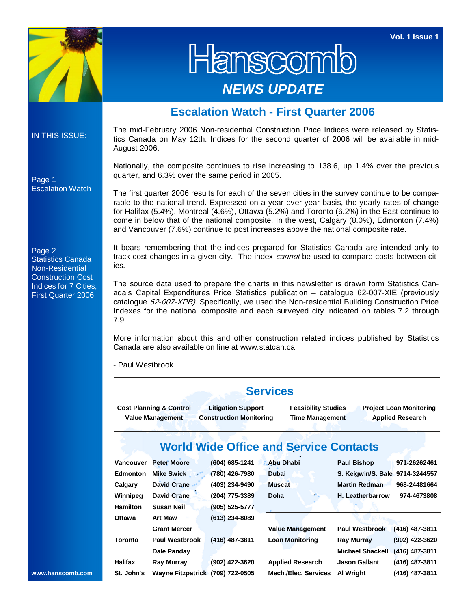**Vol. 1 Issue 1** 



Hanscom *NEWS UPDATE* 

## **Escalation Watch - First Quarter 2006**

IN THIS ISSUE:

Escalation Watch

Page 1

The mid-February 2006 Non-residential Construction Price Indices were released by Statistics Canada on May 12th. Indices for the second quarter of 2006 will be available in mid-August 2006.

Nationally, the composite continues to rise increasing to 138.6, up 1.4% over the previous quarter, and 6.3% over the same period in 2005.

The first quarter 2006 results for each of the seven cities in the survey continue to be comparable to the national trend. Expressed on a year over year basis, the yearly rates of change for Halifax (5.4%), Montreal (4.6%), Ottawa (5.2%) and Toronto (6.2%) in the East continue to come in below that of the national composite. In the west, Calgary (8.0%), Edmonton (7.4%) and Vancouver (7.6%) continue to post increases above the national composite rate.

Page 2 Statistics Canada Non-Residential Construction Cost Indices for 7 Cities, First Quarter 2006

It bears remembering that the indices prepared for Statistics Canada are intended only to track cost changes in a given city. The index *cannot* be used to compare costs between cities.

The source data used to prepare the charts in this newsletter is drawn form Statistics Canada's Capital Expenditures Price Statistics publication – catalogue 62-007-XIE (previously catalogue 62-007-XPB). Specifically, we used the Non-residential Building Construction Price Indexes for the national composite and each surveyed city indicated on tables 7.2 through 7.9.

More information about this and other construction related indices published by Statistics Canada are also available on line at www.statcan.ca.

- Paul Westbrook

|                |                                                    |                                                             | <b>Services</b>                               |                                                                                                                   |                  |  |  |  |
|----------------|----------------------------------------------------|-------------------------------------------------------------|-----------------------------------------------|-------------------------------------------------------------------------------------------------------------------|------------------|--|--|--|
|                | Cost Planning & Control<br><b>Value Management</b> | <b>Litigation Support</b><br><b>Construction Monitoring</b> |                                               | <b>Feasibility Studies</b><br><b>Project Loan Monitoring</b><br><b>Time Management</b><br><b>Applied Research</b> |                  |  |  |  |
|                |                                                    |                                                             | <b>World Wide Office and Service Contacts</b> |                                                                                                                   |                  |  |  |  |
| Vancouver      | Peter Moore                                        | $(604) 685 - 1241$                                          | Abu Dhabi                                     | Paul Bishop                                                                                                       | 971-26262461     |  |  |  |
| Edmonton       | Mike Swick                                         | (780) 426-7980                                              | <b>Dubai</b>                                  | S. Keigwin/S. Bale 9714-3244557                                                                                   |                  |  |  |  |
| Calgary        | David Crane                                        | (403) 234-9490                                              | <b>Muscat</b>                                 | <b>Martin Redman</b>                                                                                              | 968-24481664     |  |  |  |
| Winnipeg       | <b>David Crane</b>                                 | (204) 775-3389                                              | Doha                                          | H. Leatherbarrow                                                                                                  | 974-4673808      |  |  |  |
| Hamilton       | <b>Susan Neil</b>                                  | $(905) 525 - 5777$                                          |                                               |                                                                                                                   |                  |  |  |  |
| Ottawa         | Art Maw                                            | $(613)$ 234-8089                                            |                                               |                                                                                                                   |                  |  |  |  |
|                | <b>Grant Mercer</b>                                |                                                             | <b>Value Management</b>                       | <b>Paul Westbrook</b>                                                                                             | (416) 487-3811   |  |  |  |
| Toronto        | Paul Westbrook                                     | $(416)$ 487-3811                                            | <b>Loan Monitoring</b>                        | Ray Murray                                                                                                        | (902) 422-3620   |  |  |  |
|                | Dale Panday                                        |                                                             |                                               | <b>Michael Shackell</b>                                                                                           | $(416)$ 487-3811 |  |  |  |
| <b>Halifax</b> | Ray Murray                                         | (902) 422-3620                                              | <b>Applied Research</b>                       | <b>Jason Gallant</b>                                                                                              | (416) 487-3811   |  |  |  |
| St. John's     | Wayne Fitzpatrick (709) 722-0505                   |                                                             | Mech./Elec. Services                          | Al Wright                                                                                                         | (416) 487-3811   |  |  |  |

## **www.hanscomb.com**